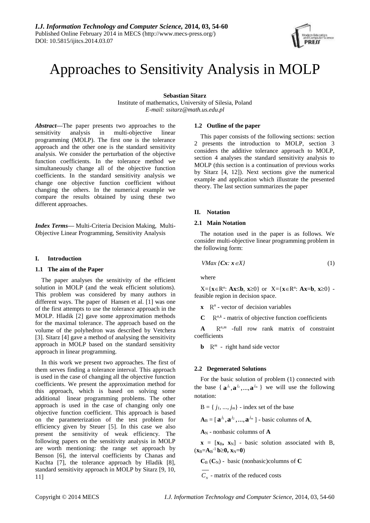# Approaches to Sensitivity Analysis in MOLP

**Sebastian Sitarz**

Institute of mathematics, University of Silesia, Poland *E-mail: ssitarz@math.us.edu.pl*

*Abstract***—**The paper presents two approaches to the sensitivity analysis in multi-objective linear programming (MOLP). The first one is the tolerance approach and the other one is the standard sensitivity analysis. We consider the perturbation of the objective function coefficients. In the tolerance method we simultaneously change all of the objective function coefficients. In the standard sensitivity analysis we change one objective function coefficient without changing the others. In the numerical example we compare the results obtained by using these two different approaches.

*Index Terms***—** Multi-Criteria Decision Making, Multi-Objective Linear Programming, Sensitivity Analysis

# **I. Introduction**

# **1.1 The aim of the Paper**

The paper analyses the sensitivity of the efficient solution in MOLP (and the weak efficient solutions). This problem was considered by many authors in different ways. The paper of Hansen et al. [1] was one of the first attempts to use the tolerance approach in the MOLP. Hladik [2] gave some approximation methods for the maximal tolerance. The approach based on the volume of the polyhedron was described by Vetchera [3]. Sitarz [4] gave a method of analysing the sensitivity approach in MOLP based on the standard sensitivity approach in linear programming.

In this work we present two approaches. The first of them serves finding a tolerance interval. This approach is used in the case of changing all the objective function coefficients. We present the approximation method for this approach, which is based on solving some additional linear programming problems. The other approach is used in the case of changing only one objective function coefficient. This approach is based on the parameterization of the test problem for efficiency given by Steuer [5]. In this case we also present the sensitivity of weak efficiency. The following papers on the sensitivity analysis in MOLP are worth mentioning: the range set approach by Benson [6], the interval coefficients by Chanas and Kuchta [7], the tolerance approach by Hladik [8], standard sensitivity approach in MOLP by Sitarz [9, 10, 11]

# **1.2 Outline of the paper**

This paper consists of the following sections: section 2 presents the introduction to MOLP, section 3 considers the additive tolerance approach to MOLP, section 4 analyses the standard sensitivity analysis to MOLP (this section is a continuation of previous works by Sitarz [4, 12]). Next sections give the numerical example and application which illustrate the presented theory. The last section summarizes the paper

# **II. Notation**

## **2.1 Main Notation**

The notation used in the paper is as follows. We consider multi-objective linear programming problem in the following form:

$$
VMax \{Cx \colon x \in X\} \tag{1}
$$

where

 $X = \{x \in \mathbb{R}^n: Ax \leq b, x \geq 0\}$  or  $X = \{x \in \mathbb{R}^n: Ax = b, x \geq 0\}$ feasible region in decision space.

 $\mathbf{x}$   $\mathbb{R}^n$  - vector of decision variables

 $\mathbf{C}$   $\mathbb{R}^{n,k}$  - matrix of objective function coefficients

 $A$   $R^{n,m}$  -full row rank matrix of constraint coefficients

**b**  $R^m$  - right hand side vector

# **2.2 Degenerated Solutions**

For the basic solution of problem (1) connected with the base { $\mathbf{a}^{j_1}, \mathbf{a}^{j_2}, \dots, \mathbf{a}^{j_m}$ } we will use the following notation:

 $B = \{ j_1, ..., j_m \}$  - index set of the base

 $\mathbf{A}_{\text{B}} = [\mathbf{a}^{\dot{j}_1}, \mathbf{a}^{\dot{j}_2}, ..., \mathbf{a}^{\dot{j}_m}]$  - basic columns of  $\mathbf{A}$ ,

**A**<sup>N</sup> - nonbasic columns of **A**

 $\mathbf{x} = [\mathbf{x}_B, \mathbf{x}_N]$  - basic solution associated with B,  $(x_B = A_B^{-1} b \ge 0, x_N = 0)$ 

 $C_B$  ( $C_N$ ) - basic (nonbasic)columns of  $C$ 

 $C_N$  - matrix of the reduced costs

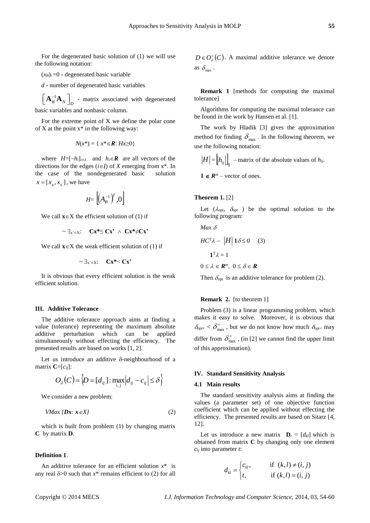For the degenerated basic solution of (1) we will use the following notation:

 $(x_B)_i = 0$  - degenerated basic variable

*d* - number of degenerated basic variables

1  $B \sim N \bigcup_D$  $\left[ \mathbf{A}_{B}^{-1} \mathbf{A}_{N} \right]_{D}$  - matrix associated with degenerated

basic variables and nonbasic column.

For the extreme point of X we define the polar cone of X at the point  $x^*$  in the following way:

$$
N(x^*) = \{ x^* \in \mathbf{R} : Hx \ge 0 \}
$$

where  $H=[-h_i]_{i\in I}$  and  $h_i\in \mathbb{R}$  are all vectors of the directions for the edges  $(i \in I)$  of *X* emerging from  $x^*$ . In the case of the nondegenerated basic solution  $x = [x_{\scriptscriptstyle B}, x_{\scriptscriptstyle N}]$ , we have

$$
H\!\!=\left[\!\left(\!A_B^{-1}\right)^{\!T}\!,\!0\right]
$$

We call  $\mathbf{x} \in X$  the efficient solution of (1) if

$$
\sim \exists_{x' \in X}: \quad Cx^* \leq Cx' \ \wedge \ Cx^* \neq Cx'
$$

We call  $\mathbf{x} \in X$  the weak efficient solution of (1) if

$$
\sim \exists_{x' \in X}: \quad Cx^* < Cx'
$$

It is obvious that every efficient solution is the weak efficient solution.

## **III. Additive Tolerance**

The additive tolerance approach aims at finding a value (tolerance) representing the maximum absolute additive perturbation which can be applied simultaneously without effecting the efficiency. The presented results are based on works [1, 2].

Let us introduce an additive  $\delta$ -neighbourhood of a matrix  $\mathbf{C}=[c_{ij}]$ :

$$
O_{\delta}(C) = \Big\langle D = [d_{ij}] : \max_{i,j} |d_{ij} - c_{ij}| \leq \delta \Big\rangle
$$

We consider a new problem:

$$
VMax \{Dx: x \in X\}
$$
 (2)

which is built from problem (1) by changing matrix **C**by matrix **D**.

#### **Definition 1**.

An additive tolerance for an efficient solution  $x^*$  is any real  $\delta$ >0 such that  $x^*$  remains efficient to (2) for all

 $D \in O_{\delta}^{+}(C)$ . A maximal additive tolerance we denote as  $\delta_{\max}$ .

**Remark 1** [methods for computing the maximal tolerance]

Algorithms for computing the maximal tolerance can be found in the work by Hansen et al. [1].

The work by Hladik [3] gives the approximation method for finding  $\delta_{\text{max}}$ . In the following theorem, we use the following notation:

$$
H = [h_{ij}]\big|_{ij} - \text{matrix of the absolute values of } h_{ij}.
$$

 $1 \in R^m$  – vector of ones.

#### **Theorem 1.** [2]

Let  $(\lambda_{\text{opt}} \ \delta_{\text{opt}})$  be the optimal solution to the following program:

$$
Max \delta
$$
  
\n
$$
HC^{T}\lambda - |H| 1\delta \le 0 \quad (3)
$$
  
\n
$$
1^{T}\lambda = 1
$$
  
\n
$$
0 \le \lambda \in \mathbb{R}^{m}, \ 0 \le \delta \in \mathbb{R}
$$

Then  $\delta_{\text{opt}}$  is an additive tolerance for problem (2).

#### **Remark 2.** [to theorem 1]

Problem (3) is a linear programming problem, which makes it easy to solve. Moreover, it is obvious that  $\delta_{\text{opt}^+} < \delta_{\text{max}}^+$  , but we do not know how much  $\delta_{\text{opt}^+}$  may differ from  $\delta_{\text{max}}^+$ , (in [2] we cannot find the upper limit of this approximation).

## **IV. Standard Sensitivity Analysis**

#### **4.1 Main results**

The standard sensitivity analysis aims at finding the values (a parameter set) of one objective function coefficient which can be applied without effecting the efficiency. The presented results are based on Sitarz [4, 12].

Let us introduce a new matrix  $\mathbf{D}_t = [d_{kl}]$  which is obtained from matrix **C** by changing only one element *cij* into parameter *t*:

$$
d_{kl} = \begin{cases} c_{kl}, & \text{if } (k,l) \neq (i,j) \\ t, & \text{if } (k,l) = (i,j) \end{cases}
$$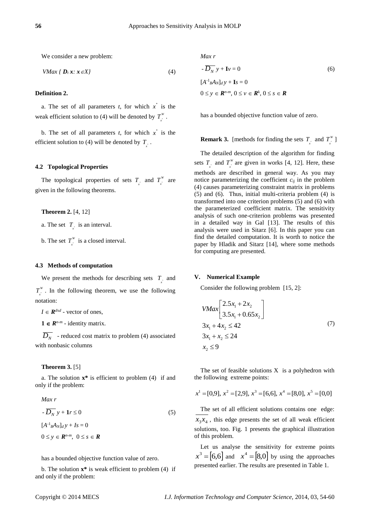We consider a new problem:

$$
VMax \{ D_t x : x \in X \}
$$
 (4)

#### **Definition 2.**

a. The set of all parameters  $t$ , for which  $x^*$  is the weak efficient solution to (4) will be denoted by  $T^{\mu}_{\mu}$  $T$ <sup>*r*</sup><sub>*x*</sub><sup>*x*</sup>.

b. The set of all parameters  $t$ , for which  $x^*$  is the efficient solution to (4) will be denoted by  $T_{\frac{x}{x}}$ .

### **4.2 Topological Properties**

The topological properties of sets  $T_{\vec{x}}$  and  $T_{\vec{x}}^W$  $T_{\dot{x}}^{\dot{w}}$  are given in the following theorems.

**Theorem 2.** [4, 12]

a. The set  $T_{\hat{x}}$  is an interval.

b. The set  $T^w$  $T_{\rm x}^{\rm w}$  is a closed interval.

#### **4.3 Methods of computation**

We present the methods for describing sets  $T_{\text{x}}$  and \* *W*  $T$ <sup>*w*</sup>. In the following theorem, we use the following notation:

 $I \in \mathbb{R}^{d \times d}$  - vector of ones,

 $1 \in R^{n-m}$  - identity matrix.

 $\overline{D_N}$  - reduced cost matrix to problem (4) associated with nonbasic columns

**Theorem 3.** [5]

a. The solution **x\*** is efficient to problem (4) if and only if the problem:

$$
Max r
$$
  
\n
$$
- \overline{D_N} y + \mathbf{1}r \le 0
$$
  
\n
$$
[A^{-1}{}_{B}A_N]_d y + Is = 0
$$
  
\n
$$
0 \le y \in \mathbb{R}^{n-m}, \ 0 \le s \in \mathbb{R}
$$
\n(5)

has a bounded objective function value of zero.

b. The solution **x\*** is weak efficient to problem (4) if and only if the problem:

*Max r*

$$
- \overline{D_N} y + I v = 0
$$
  
\n
$$
[A^{-1}{}_{B}A_N]_d y + I s = 0
$$
  
\n
$$
0 \le y \in \mathbb{R}^{n-m}, 0 \le v \in \mathbb{R}^k, 0 \le s \in \mathbb{R}
$$
 (6)

has a bounded objective function value of zero.

**Remark 3.** [methods for finding the sets  $T_{x}$  and  $T_{x}^{w}$  $T_{\vec{x}}^{\text{w}}$ ]

The detailed description of the algorithm for finding sets  $T_{\underset{x}{\cdot}}$  and  $T_{\underset{x}{\cdot}}^{W}$  $T_{\mu}^{\text{w}}$  are given in works [4, 12]. Here, these methods are described in general way. As you may notice parameterizing the coefficient  $c_{ij}$  in the problem (4) causes parameterizing constraint matrix in problems (5) and (6). Thus, initial multi-criteria problem (4) is transformed into one criterion problems (5) and (6) with the parameterized coefficient matrix. The sensitivity analysis of such one-criterion problems was presented in a detailed way in Gal [13]. The results of this analysis were used in Sitarz [6]. In this paper you can find the detailed computation. It is worth to notice the paper by Hladik and Sitarz [14], where some methods for computing are presented.

# **V. Numerical Example**

Consider the following problem [15, 2]:

$$
VMax\left[\begin{array}{l} 2.5x_1 + 2x_2 \\ 3.5x_1 + 0.65x_2 \end{array}\right]
$$
  
\n
$$
3x_1 + 4x_2 \le 42
$$
  
\n
$$
3x_1 + x_2 \le 24
$$
  
\n
$$
x_2 \le 9
$$
\n(7)

The set of feasible solutions  $X$  is a polyhedron with the following extreme points:

$$
x^1 = [0,9], x^2 = [2,9], x^3 = [6,6], x^4 = [8,0], x^5 = [0,0]
$$

The set of all efficient solutions contains one edge:  $x_3x_4$ , this edge presents the set of all weak efficient solutions, too. Fig. 1 presents the graphical illustration of this problem.

Let us analyse the sensitivity for extreme points  $x^3 = \begin{bmatrix} 6,6 \end{bmatrix}$  and  $x^4 = \begin{bmatrix} 8,0 \end{bmatrix}$  by using the approaches presented earlier. The results are presented in Table 1.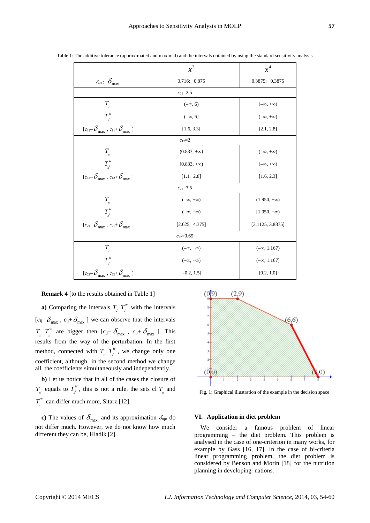|                                                                               | $x^3$                | $x^4$                |
|-------------------------------------------------------------------------------|----------------------|----------------------|
|                                                                               |                      |                      |
| $\delta_{\text{opt}}$ ; $\delta_{\text{max}}$                                 | 0.716; 0.875         | 0.3875; 0.3875       |
| $c_{11}=2.5$                                                                  |                      |                      |
| $T_{\scriptscriptstyle\chi^!}$                                                | $(-\infty, 6)$       | $(-\infty, +\infty)$ |
| $T_{\frac{1}{x}}^W$                                                           | $(-\infty, 6]$       | $(-\infty, +\infty)$ |
| $[c_{11} - \delta_{\text{max}} , c_{11} + \delta_{\text{max}} ]$              | [1.6, 3.3]           | [2.1, 2.8]           |
| $c_{12}=2$                                                                    |                      |                      |
| $T_{\frac{1}{x}}$                                                             | $(0.833, +\infty)$   | $(-\infty, +\infty)$ |
| $T_{\mu}^W$                                                                   | $[0.833, +\infty)$   | $(-\infty, +\infty)$ |
| $[c_{12} - \delta_{\text{max}} , c_{12} + \delta_{\text{max}} ]$              | [1.1, 2.8]           | [1.6, 2.3]           |
| $c_{21} = 3,5$                                                                |                      |                      |
| $T_{x^i}$                                                                     | $(-\infty, +\infty)$ | $(1.950, +\infty)$   |
| $T^{\scriptscriptstyle{W}}_{_{\vec x}}$                                       | $(-\infty, +\infty)$ | $[1.950, +\infty)$   |
| $[c_{21} - \delta_{\text{max}} , c_{21} + \delta_{\text{max}} ]$              | [2.625, 4.375]       | [3.1125, 3.8875]     |
| $c_{22}=0,65$                                                                 |                      |                      |
| $T_{\scriptscriptstyle\chi^{\scriptscriptstyle 1}}$                           | $(-\infty, +\infty)$ | $(-\infty, 1.167)$   |
| $T_{\mu}^W$                                                                   | $(-\infty, +\infty)$ | $(-\infty, 1.167]$   |
| $[c_{22}\text{--}\,\delta_\text{max}$ , $c_{22}\text{+}\,\delta_\text{max}$ ] | $[-0.2, 1.5]$        | [0.2, 1.0]           |

Table 1: The additive tolerance (approximated and maximal) and the intervals obtained by using the standard sensitivity analysis

### **Remark 4** [to the results obtained in Table 1]

**a**) Comparing the intervals  $T_{x}^T$   $T_{x}^W$  $T_{x}^{\prime\prime}$  with the intervals  $[c_{ij} - \delta_{max}, c_{ij} + \delta_{max}]$  we can observe that the intervals  $T_{\scriptscriptstyle\lambda^{\pm}}$   $T_{\scriptscriptstyle\lambda^{\pm}}^{\scriptscriptstyle\rm W}$  $T_{x}^{\prime\prime}$  are bigger then  $[c_{ij}-\delta_{max}$ ,  $c_{ij}+\delta_{max}$  ]. This results from the way of the perturbation. In the first method, connected with  $T_{x^1} T_{x^1}^W$  $T_{x}^{\prime\prime}$ , we change only one coefficient, although in the second method we change all the coefficients simultaneously and independently.

**b)** Let us notice that in all of the cases the closure of  $T_{\mathbf{x}^{\perp}}$  equals to  $T_{\mathbf{x}^{\perp}}^{W}$  $T_{x}^{\prime\prime}$ , this is not a rule, the sets cl  $T_{x}$  and 1 *W*  $T_{x}^{\text{w}}$  can differ much more, Sitarz [12].

**c**) The values of  $\delta_{\text{max}}$  and its approximation  $\delta_{\text{opt}}$  do not differ much. However, we do not know how much different they can be, Hladik [2].



Fig. 1: Graphical illustration of the example in the decision space

# **VI. Application in diet problem**

We consider a famous problem of linear programming – the diet problem. This problem is analysed in the case of one-criterion in many works, for example by Gass [16, 17]. In the case of bi-criteria linear programming problem, the diet problem is considered by Benson and Morin [18] for the nutrition planning in developing nations.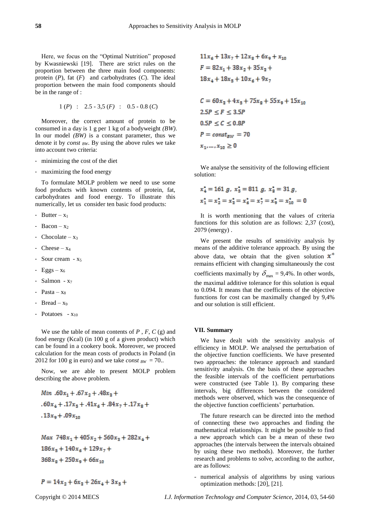Here, we focus on the "Optimal Nutrition" proposed by Kwasniewski [19]. There are strict rules on the proportion between the three main food components: protein (*P*), fat (*F*) and carbohydrates (*C*). The ideal proportion between the main food components should be in the range of :

$$
1 (P) : 2.5 - 3.5 (F) : 0.5 - 0.8 (C)
$$

Moreover, the correct amount of protein to be consumed in a day is 1 g per 1 kg of a bodyweight *(BW)*. In our model *(BW)* is a constant parameter, thus we denote it by *const BW*. By using the above rules we take into account two criteria:

- minimizing the cost of the diet
- maximizing the food energy

To formulate MOLP problem we need to use some food products with known contents of protein, fat, carbohydrates and food energy. To illustrate this numerically, let us consider ten basic food products:

- Butter  $x_1$
- Bacon  $x_2$
- Chocolate  $x_3$
- Cheese  $x_4$
- Sour cream  $x_5$
- Eggs  $x_6$
- Salmon x<sup>7</sup>
- Pasta  $x_8$
- Bread  $-x_9$
- Potatoes  $x_{10}$

We use the table of mean contents of *P* , *F*, *C* (g) and food energy (Kcal) (in 100 g of a given product) which can be found in a cookery book. Moreover, we proceed calculation for the mean costs of products in Poland (in 2012 for 100 g in euro) and we take *const*  $_{BW} = 70$ .

Now, we are able to present MOLP problem describing the above problem.

Min .60
$$
x_1
$$
 + .67 $x_2$  + .48 $x_3$  +  
.60 $x_4$  + .17 $x_5$  + .41 $x_6$  + .84 $x_7$  + .17 $x_8$  +  
.13 $x_9$  + .09 $x_{10}$ 

Max  $748x_1 + 405x_2 + 560x_3 + 282x_4 +$  $186x_5 + 140x_6 + 129x_7 +$  $368x_0 + 250x_0 + 66x_{10}$ 

$$
P = 14x_2 + 6x_3 + 26x_4 + 3x_5 +
$$

$$
11x_6 + 13x_7 + 12x_8 + 6x_9 + x_{10}
$$
  

$$
F = 82x_1 + 38x_2 + 35x_8 +
$$
  

$$
18x_4 + 18x_5 + 10x_6 + 9x_7
$$

 $C = 60x_3 + 4x_5 + 75x_8 + 55x_9 + 15x_{10}$  $2.5P \leq F \leq 3.5P$  $0.5P \leq C \leq 0.8P$  $P = const_{RW} = 70$  $x_1,\ldots,x_{10}\geq 0$ 

We analyse the sensitivity of the following efficient solution:

$$
x_4^* = 161 g, x_5^* = 811 g, x_8^* = 31 g,
$$
  

$$
x_1^* = x_2^* = x_3^* = x_6^* = x_7^* = x_9^* = x_{10}^* = 0
$$

It is worth mentioning that the values of criteria functions for this solution are as follows: 2,37 (cost), 2079 (energy) .

We present the results of sensitivity analysis by means of the additive tolerance approach. By using the above data, we obtain that the given solution  $x^*$ remains efficient with changing simultaneously the cost coefficients maximally by  $\delta_{\text{max}} = 9,4\%$ . In other words, the maximal additive tolerance for this solution is equal to 0.094. It means that the coefficients of the objective functions for cost can be maximally changed by 9,4% and our solution is still efficient.

# **VII. Summary**

We have dealt with the sensitivity analysis of efficiency in MOLP. We analysed the perturbation of the objective function coefficients. We have presented two approaches: the tolerance approach and standard sensitivity analysis. On the basis of these approaches the feasible intervals of the coefficient perturbations were constructed (see Table 1). By comparing these intervals, big differences between the considered methods were observed, which was the consequence of the objective function coefficients' perturbation.

The future research can be directed into the method of connecting these two approaches and finding the mathematical relationships. It might be possible to find a new approach which can be a mean of these two approaches (the intervals between the intervals obtained by using these two methods). Moreover, the further research and problems to solve, according to the author, are as follows:

- numerical analysis of algorithms by using various optimization methods: [20], [21].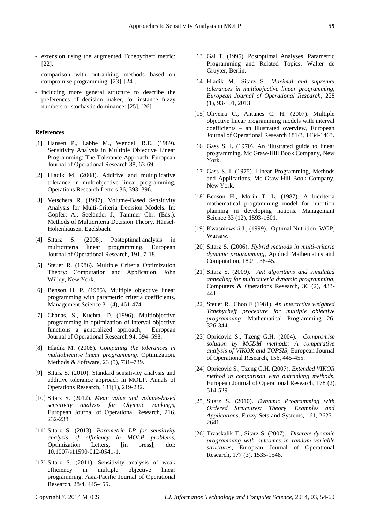- extension using the augmented Tchebycheff metric: [22].
- comparison with outranking methods based on compromise programming: [23], [24].
- including more general structure to describe the preferences of decision maker, for instance fuzzy numbers or stochastic dominance: [25], [26].

#### **References**

- [1] Hansen P., Labbe M., Wendell R.E. (1989). Sensitivity Analysis in Multiple Objective Linear Programming: The Tolerance Approach. European Journal of Operational Research 38, 63-69.
- [2] Hladik M. (2008). Additive and multiplicative tolerance in multiobjective linear programming, Operations Research Letters 36, 393–396.
- [3] Vetschera R. (1997). Volume-Based Sensitivity Analysis for Multi-Criteria Decision Models. In: Göpfert A., Seeländer J., Tammer Chr. (Eds.). Methods of Multicriteria Decision Theory. Hänsel-Hohenhausen, Egelsbach.
- [4] Sitarz S. (2008). Postoptimal analysis in multicriteria linear programming. European Journal of Operational Research, 191, 7-18.
- [5] Steuer R. (1986). Multiple Criteria Optimization Theory: Computation and Application. John Willey, New York.
- [6] Benson H. P. (1985). Multiple objective linear programming with parametric criteria coefficients. Management Science 31 (4), 461-474.
- [7] Chanas, S., Kuchta, D. (1996), Multiobjective programming in optimization of interval objective functions a generalized approach, European Journal of Operational Research 94, 594–598.
- [8] Hladik M. (2008). *Computing the tolerances in multiobjective linear programming*. Optimization. Methods & Software, 23 (5), 731–739.
- [9] Sitarz S. (2010). Standard sensitivity analysis and additive tolerance approach in MOLP. Annals of Operations Research, 181(1), 219-232.
- [10] Sitarz S. (2012). *Mean value and volume-based sensitivity analysis for Olympic rankings*, European Journal of Operational Research, 216, 232-238.
- [11] Sitarz S. (2013). *Parametric LP for sensitivity analysis of efficiency in MOLP problems,*  Optimization Letters, [in press], doi: 10.1007/s11590-012-0541-1.
- [12] Sitarz S. (2011). Sensitivity analysis of weak efficiency in multiple objective linear programming. Asia-Pacific Journal of Operational Research, 28/4, 445-455.
- [13] Gal T. (1995). Postoptimal Analyses, Parametric Programming and Related Topics. Walter de Gruyter, Berlin.
- [14] Hladik M., Sitarz S., *Maximal and supremal tolerances in multiobjective linear programming, European Journal of Operational Research*, 228 (1), 93-101, 2013
- [15] Oliveira C., Antunes C. H. (2007). Multiple objective linear programming models with interval coefficients – an illustrated overview, European Journal of Operational Research 181/3, 1434-1463.
- [16] Gass S. I. (1970). An illustrated guide to linear programming. Mc Graw-Hill Book Company, New York.
- [17] Gass S. I. (1975). Linear Programming, Methods and Applications. Mc Graw-Hill Book Company, New York.
- [18] Benson H., Morin T. L. (1987). A bicriteria mathematical programming model for nutrition planning in developing nations. Managemant Science 33 (12), 1593-1601.
- [19] Kwasniewski J., (1999). Optimal Nutrition. WGP, Warsaw.
- [20] Sitarz S. (2006), *Hybrid methods in multi-criteria dynamic programming*, Applied Mathematics and Computation, 180/1, 38-45.
- [21] Sitarz S. (2009). *Ant algorithms and simulated annealing for multicriteria dynamic programming*, Computers & Operations Research, 36 (2), 433- 441.
- [22] Steuer R., Choo E (1981). *An Interactive weighted Tchebycheff procedure for multiple objective programming*, Mathematical Programming 26, 326-344.
- [23] Opricovic S., Tzeng G.H. (2004). *Compromise solution by MCDM methods: A comparative analysis of VIKOR and TOPSIS*, European Journal of Operational Research, 156, 445-455.
- [24] Opricovic S., Tzeng G.H. (2007). *Extended VIKOR method in comparison with outranking methods*, European Journal of Operational Research, 178 (2), 514-529.
- [25] Sitarz S. (2010). *Dynamic Programming with Ordered Structures: Theory, Examples and Applications*, Fuzzy Sets and Systems, 161, 2623– 2641.
- [26] Trzaskalik T., Sitarz S. (2007). *Discrete dynamic programming with outcomes in random variable structures*, European Journal of Operational Research, 177 (3), 1535-1548.